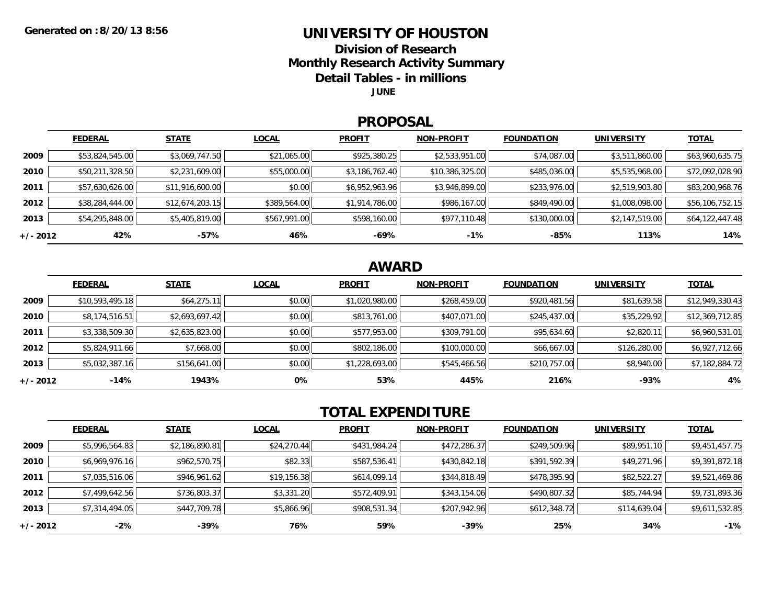### **UNIVERSITY OF HOUSTON**

**Division of ResearchMonthly Research Activity Summary**

**Detail Tables - in millions**

**JUNE**

#### **PROPOSAL**

|            | <b>FEDERAL</b>  | <b>STATE</b>    | <b>LOCAL</b> | <b>PROFIT</b>  | <b>NON-PROFIT</b> | <b>FOUNDATION</b> | <b>UNIVERSITY</b> | <b>TOTAL</b>    |
|------------|-----------------|-----------------|--------------|----------------|-------------------|-------------------|-------------------|-----------------|
| 2009       | \$53,824,545.00 | \$3,069,747.50  | \$21,065.00  | \$925,380.25   | \$2,533,951.00    | \$74,087.00       | \$3,511,860.00    | \$63,960,635.75 |
| 2010       | \$50,211,328.50 | \$2,231,609.00  | \$55,000.00  | \$3,186,762.40 | \$10,386,325.00   | \$485,036.00      | \$5,535,968.00    | \$72,092,028.90 |
| 2011       | \$57,630,626.00 | \$11,916,600.00 | \$0.00       | \$6,952,963.96 | \$3,946,899.00    | \$233,976.00      | \$2,519,903.80    | \$83,200,968.76 |
| 2012       | \$38,284,444.00 | \$12,674,203.15 | \$389,564.00 | \$1,914,786.00 | \$986,167.00      | \$849,490.00      | \$1,008,098.00    | \$56,106,752.15 |
| 2013       | \$54,295,848.00 | \$5,405,819.00  | \$567,991.00 | \$598,160.00   | \$977,110.48      | \$130,000.00      | \$2,147,519.00    | \$64,122,447.48 |
| $+/- 2012$ | 42%             | -57%            | 46%          | -69%           | $-1%$             | -85%              | 113%              | 14%             |

## **AWARD**

|            | <b>FEDERAL</b>  | <b>STATE</b>   | <b>LOCAL</b> | <b>PROFIT</b>  | <b>NON-PROFIT</b> | <b>FOUNDATION</b> | <b>UNIVERSITY</b> | <b>TOTAL</b>    |
|------------|-----------------|----------------|--------------|----------------|-------------------|-------------------|-------------------|-----------------|
| 2009       | \$10,593,495.18 | \$64,275.11    | \$0.00       | \$1,020,980.00 | \$268,459.00      | \$920,481.56      | \$81,639.58       | \$12,949,330.43 |
| 2010       | \$8,174,516.51  | \$2,693,697.42 | \$0.00       | \$813,761.00   | \$407,071.00      | \$245,437.00      | \$35,229.92       | \$12,369,712.85 |
| 2011       | \$3,338,509.30  | \$2,635,823.00 | \$0.00       | \$577,953.00   | \$309,791.00      | \$95,634.60       | \$2,820.11        | \$6,960,531.01  |
| 2012       | \$5,824,911.66  | \$7,668.00     | \$0.00       | \$802,186.00   | \$100,000.00      | \$66,667.00       | \$126,280.00      | \$6,927,712.66  |
| 2013       | \$5,032,387.16  | \$156,641.00   | \$0.00       | \$1,228,693.00 | \$545,466.56      | \$210,757.00      | \$8,940.00        | \$7,182,884.72  |
| $+/- 2012$ | -14%            | 1943%          | 0%           | 53%            | 445%              | 216%              | $-93%$            | 4%              |

# **TOTAL EXPENDITURE**

|          | <b>FEDERAL</b> | <b>STATE</b>   | <b>LOCAL</b> | <b>PROFIT</b> | <b>NON-PROFIT</b> | <b>FOUNDATION</b> | <b>UNIVERSITY</b> | <b>TOTAL</b>   |
|----------|----------------|----------------|--------------|---------------|-------------------|-------------------|-------------------|----------------|
| 2009     | \$5,996,564.83 | \$2,186,890.81 | \$24,270.44  | \$431,984.24  | \$472,286.37      | \$249,509.96      | \$89,951.10       | \$9,451,457.75 |
| 2010     | \$6,969,976.16 | \$962,570.75   | \$82.33      | \$587,536.41  | \$430,842.18      | \$391,592.39      | \$49,271.96       | \$9,391,872.18 |
| 2011     | \$7,035,516.06 | \$946,961.62   | \$19,156.38  | \$614,099.14  | \$344,818.49      | \$478,395.90      | \$82,522.27       | \$9,521,469.86 |
| 2012     | \$7,499,642.56 | \$736,803.37   | \$3,331.20   | \$572,409.91  | \$343,154.06      | \$490,807.32      | \$85,744.94       | \$9,731,893.36 |
| 2013     | \$7,314,494.05 | \$447,709.78   | \$5,866.96   | \$908,531.34  | \$207,942.96      | \$612,348.72      | \$114,639.04      | \$9,611,532.85 |
| +/- 2012 | $-2\%$         | -39%           | 76%          | 59%           | $-39%$            | 25%               | 34%               | $-1%$          |